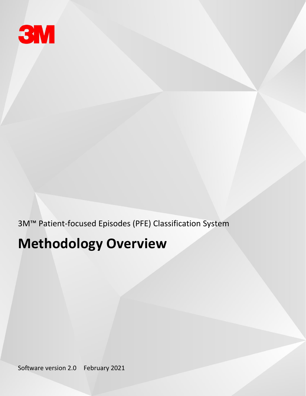

3M™ Patient-focused Episodes (PFE) Classification System

# **Methodology Overview**

Software version 2.0 February 2021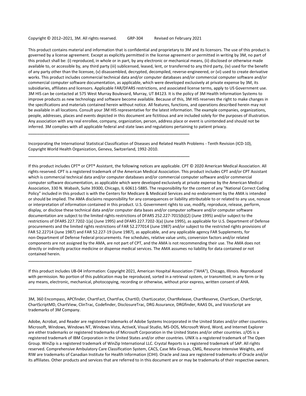#### Copyright © 2012–2021, 3M. All rights reserved. GRP-304 Revised on February 2021

**\_\_\_\_\_\_\_\_\_\_\_\_\_\_\_\_\_\_\_\_\_\_\_\_\_\_\_\_\_\_\_\_\_\_\_\_\_\_\_\_\_\_\_\_\_\_\_\_\_\_\_\_\_\_\_\_\_\_\_\_\_\_\_\_\_\_\_\_\_\_\_\_**

**\_\_\_\_\_\_\_\_\_\_\_\_\_\_\_\_\_\_\_\_\_\_\_\_\_\_\_\_\_\_\_\_\_\_\_\_\_\_\_\_\_\_\_\_\_\_\_\_\_\_\_\_\_\_\_\_\_\_\_\_\_\_\_\_\_\_\_\_\_\_\_\_**

**\_\_\_\_\_\_\_\_\_\_\_\_\_\_\_\_\_\_\_\_\_\_\_\_\_\_\_\_\_\_\_\_\_\_\_\_\_\_\_\_\_\_\_\_\_\_\_\_\_\_\_\_\_\_\_\_\_\_\_\_\_\_\_\_\_\_\_\_\_\_\_\_\_**

**\_\_\_\_\_\_\_\_\_\_\_\_\_\_\_\_\_\_\_\_\_\_\_\_\_\_\_\_\_\_\_\_\_\_\_\_\_\_\_\_\_\_\_\_\_\_\_\_\_\_\_\_\_\_\_\_\_\_\_\_\_\_\_\_\_\_\_\_\_\_\_\_\_**

This product contains material and information that is confidential and proprietary to 3M and its licensors. The use of this product is governed by a license agreement. Except as explicitly permitted in the license agreement or permitted in writing by 3M, no part of this product shall be: (i) reproduced, in whole or in part, by any electronic or mechanical means, (ii) disclosed or otherwise made available to, or accessible by, any third party (iii) sublicensed, leased, lent, or transferred to any third party, (iv) used for the benefit of any party other than the licensee, (v) disassembled, decrypted, decompiled, reverse-engineered, or (vi) used to create derivative works. This product includes commercial technical data and/or computer databases and/or commercial computer software and/or commercial computer software documentation, as applicable, which were developed exclusively at private expense by 3M, its subsidiaries, affiliates and licensors. Applicable FAR/DFARS restrictions, and associated license terms, apply to US Government use. 3M HIS can be contacted at 575 West Murray Boulevard, Murray, UT 84123. It is the policy of 3M Health Information Systems to improve products as new technology and software become available. Because of this, 3M HIS reserves the right to make changes in the specifications and materials contained herein without notice. All features, functions, and operations described herein may not be available in all locations. Consult your 3M HIS representative for the latest information. The example companies, organizations, people, addresses, places and events depicted in this document are fictitious and are included solely for the purposes of illustration. Any association with any real enrollee, company, organization, person, address place or event is unintended and should not be inferred. 3M complies with all applicable federal and state laws and regulations pertaining to patient privacy.

Incorporating the International Statistical Classification of Diseases and Related Health Problems - Tenth Revision (ICD-10), Copyright World Health Organization, Geneva, Switzerland, 1992-2010.

If this product includes CPT® or CPT® Assistant, the following notices are applicable. CPT © 2020 American Medical Association. All rights reserved. CPT is a registered trademark of the American Medical Association. This product includes CPT and/or CPT Assistant which is commercial technical data and/or computer databases and/or commercial computer software and/or commercial computer software documentation, as applicable which were developed exclusively at private expense by the American Medical Association, 330 N. Wabash, Suite 39300, Chicago, IL 60611-5885. The responsibility for the content of any "National Correct Coding Policy" included in this product is with the Centers for Medicare & Medicaid Services and no endorsement by the AMA is intended or should be implied. The AMA disclaims responsibility for any consequences or liability attributable to or related to any use, nonuse or interpretation of information contained in this product. U.S. Government rights to use, modify, reproduce, release, perform, display, or disclose these technical data and/or computer data bases and/or computer software and/or computer software documentation are subject to the limited rights restrictions of DFARS 252.227-7015(b)(2) (June 1995) and/or subject to the restrictions of DFARS 227.7202-1(a) (June 1995) and DFARS 227.7202-3(a) (June 1995), as applicable for U.S. Department of Defense procurements and the limited rights restrictions of FAR 52.277014 (June 1987) and/or subject to the restricted rights provisions of FAR 52.22714 (June 1987) and FAR 52.227-19 (June 1987), as applicable, and any applicable agency FAR Supplements, for non-Department of Defense Federal procurements. Fee schedules, relative value units, conversion factors and/or related components are not assigned by the AMA, are not part of CPT, and the AMA is not recommending their use. The AMA does not directly or indirectly practice medicine or dispense medical services. The AMA assumes no liability for data contained or not contained herein.

If this product includes UB-04 information: Copyright 2021, American Hospital Association ("AHA"), Chicago, Illinois. Reproduced with permission. No portion of this publication may be reproduced, sorted in a retrieval system, or transmitted, in any form or by any means, electronic, mechanical, photocopying, recording or otherwise, without prior express, written consent of AHA.

3M, 360 Encompass, APCfinder, ChartFact, ChartFax, ChartID, ChartLocator, ChartRelease, ChartReserve, ChartScan, ChartScript, ChartScriptMD, ChartView, ClinTrac, Codefinder, DisclosureTrac, DRG Assurance, DRGfinder, RAAS DL, and VoiceScript are trademarks of 3M Company.

Adobe, Acrobat, and Reader are registered trademarks of Adobe Systems Incorporated in the United States and/or other countries. Microsoft, Windows, Windows NT, Windows Vista, ActiveX, Visual Studio, MS-DOS, Microsoft Word, Word, and Internet Explorer are either trademarks or registered trademarks of Microsoft Corporation in the United States and/or other countries. z/OS is a registered trademark of IBM Corporation in the United States and/or other countries. UNIX is a registered trademark of The Open Group. WinZip is a registered trademark of WinZip International LLC. Crystal Reports is a registered trademark of SAP. All rights reserved. Comprehensive Ambulatory Care Classification System, CACS, Case Mix Groups, CMG, Resource Intensive Weights, and RIW are trademarks of Canadian Institute for Health Information (CIHI). Oracle and Java are registered trademarks of Oracle and/or its affiliates. Other products and services that are referred to in this document are or may be trademarks of their respective owners.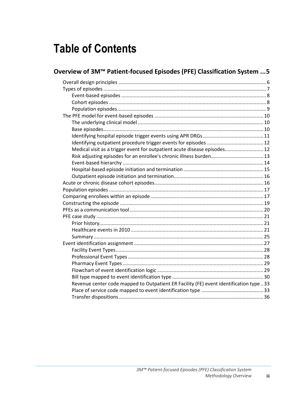# **Table of Contents**

| Overview of 3M™ Patient-focused Episodes (PFE) Classification System  5                |  |
|----------------------------------------------------------------------------------------|--|
|                                                                                        |  |
|                                                                                        |  |
|                                                                                        |  |
|                                                                                        |  |
|                                                                                        |  |
|                                                                                        |  |
|                                                                                        |  |
|                                                                                        |  |
|                                                                                        |  |
|                                                                                        |  |
| Medical visit as a trigger event for outpatient acute disease episodes 12              |  |
|                                                                                        |  |
|                                                                                        |  |
|                                                                                        |  |
|                                                                                        |  |
|                                                                                        |  |
|                                                                                        |  |
|                                                                                        |  |
|                                                                                        |  |
|                                                                                        |  |
|                                                                                        |  |
|                                                                                        |  |
|                                                                                        |  |
|                                                                                        |  |
|                                                                                        |  |
|                                                                                        |  |
|                                                                                        |  |
|                                                                                        |  |
|                                                                                        |  |
|                                                                                        |  |
| Revenue center code mapped to Outpatient ER Facility (FE) event identification type 33 |  |
|                                                                                        |  |
|                                                                                        |  |
|                                                                                        |  |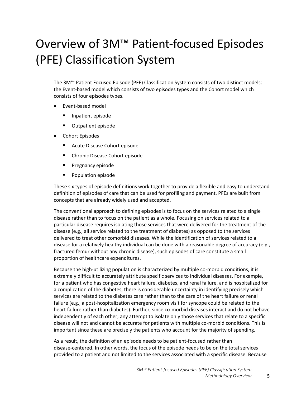# <span id="page-4-0"></span>Overview of 3M™ Patient-focused Episodes (PFE) Classification System

The 3M™ Patient Focused Episode (PFE) Classification System consists of two distinct models: the Event-based model which consists of two episodes types and the Cohort model which consists of four episodes types.

- Event-based model
	- Inpatient episode
	- Outpatient episode
- Cohort Episodes
	- Acute Disease Cohort episode
	- Chronic Disease Cohort episode
	- Pregnancy episode
	- Population episode

These six types of episode definitions work together to provide a flexible and easy to understand definition of episodes of care that can be used for profiling and payment. PFEs are built from concepts that are already widely used and accepted.

The conventional approach to defining episodes is to focus on the services related to a single disease rather than to focus on the patient as a whole. Focusing on services related to a particular disease requires isolating those services that were delivered for the treatment of the disease (e.g., all service related to the treatment of diabetes) as opposed to the services delivered to treat other comorbid diseases. While the identification of services related to a disease for a relatively healthy individual can be done with a reasonable degree of accuracy (e.g., fractured femur without any chronic disease), such episodes of care constitute a small proportion of healthcare expenditures.

Because the high-utilizing population is characterized by multiple co-morbid conditions, it is extremely difficult to accurately attribute specific services to individual diseases. For example, for a patient who has congestive heart failure, diabetes, and renal failure, and is hospitalized for a complication of the diabetes, there is considerable uncertainty in identifying precisely which services are related to the diabetes care rather than to the care of the heart failure or renal failure (e.g., a post-hospitalization emergency room visit for syncope could be related to the heart failure rather than diabetes). Further, since co-morbid diseases interact and do not behave independently of each other, any attempt to isolate only those services that relate to a specific disease will not and cannot be accurate for patients with multiple co-morbid conditions. This is important since these are precisely the patients who account for the majority of spending.

As a result, the definition of an episode needs to be patient-focused rather than disease-centered. In other words, the focus of the episode needs to be on the total services provided to a patient and not limited to the services associated with a specific disease. Because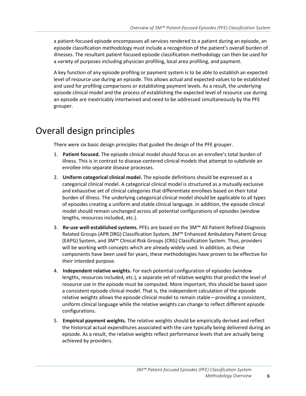a patient-focused episode encompasses all services rendered to a patient during an episode, an episode classification methodology must include a recognition of the patient's overall burden of illnesses. The resultant patient focused episode classification methodology can then be used for a variety of purposes including physician profiling, local area profiling, and payment.

A key function of any episode profiling or payment system is to be able to establish an expected level of resource use during an episode. This allows actual and expected values to be established and used for profiling comparisons or establishing payment levels. As a result, the underlying episode clinical model and the process of establishing the expected level of resource use during an episode are inextricably intertwined and need to be addressed simultaneously by the PFE grouper.

# <span id="page-5-0"></span>Overall design principles

There were six basic design principles that guided the design of the PFE grouper.

- 1. **Patient focused.** The episode clinical model should focus on an enrollee's total burden of illness. This is in contrast to disease-centered clinical models that attempt to subdivide an enrollee into separate disease processes.
- 2. **Uniform categorical clinical model.** The episode definitions should be expressed as a categorical clinical model. A categorical clinical model is structured as a mutually exclusive and exhaustive set of clinical categories that differentiate enrollees based on their total burden of illness. The underlying categorical clinical model should be applicable to all types of episodes creating a uniform and stable clinical language. In addition, the episode clinical model should remain unchanged across all potential configurations of episodes (window lengths, resources included, etc.).
- 3. **Re-use well-established systems.** PFEs are based on the 3M™ All Patient Refined Diagnosis Related Groups (APR DRG) Classification System, 3M™ Enhanced Ambulatory Patient Group (EAPG) System, and 3M™ Clinical Risk Groups (CRG) Classification System. Thus, providers will be working with concepts which are already widely used. In addition, as these components have been used for years, these methodologies have proven to be effective for their intended purpose.
- 4. **Independent relative weights.** For each potential configuration of episodes (window lengths, resources included, etc.), a separate set of relative weights that predict the level of resource use in the episode must be computed. More important, this should be based upon a consistent episode clinical model. That is, the independent calculation of the episode relative weights allows the episode clinical model to remain stable—providing a consistent, uniform clinical language while the relative weights can change to reflect different episode configurations.
- 5. **Empirical payment weights.** The relative weights should be empirically derived and reflect the historical actual expenditures associated with the care typically being delivered during an episode. As a result, the relative weights reflect performance levels that are actually being achieved by providers.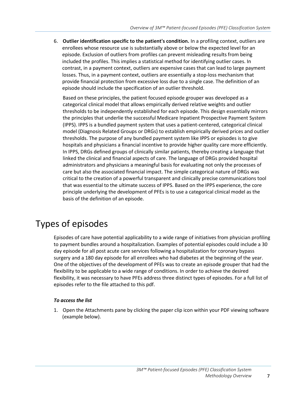6. **Outlier identification specific to the patient's condition.** In a profiling context, outliers are enrollees whose resource use is substantially above or below the expected level for an episode. Exclusion of outliers from profiles can prevent misleading results from being included the profiles. This implies a statistical method for identifying outlier cases. In contrast, in a payment context, outliers are expensive cases that can lead to large payment losses. Thus, in a payment context, outliers are essentially a stop-loss mechanism that provide financial protection from excessive loss due to a single case. The definition of an episode should include the specification of an outlier threshold.

Based on these principles, the patient focused episode grouper was developed as a categorical clinical model that allows empirically derived relative weights and outlier thresholds to be independently established for each episode. This design essentially mirrors the principles that underlie the successful Medicare Inpatient Prospective Payment System (IPPS). IPPS is a bundled payment system that uses a patient-centered, categorical clinical model (Diagnosis Related Groups or DRGs) to establish empirically derived prices and outlier thresholds. The purpose of any bundled payment system like IPPS or episodes is to give hospitals and physicians a financial incentive to provide higher quality care more efficiently. In IPPS, DRGs defined groups of clinically similar patients, thereby creating a language that linked the clinical and financial aspects of care. The language of DRGs provided hospital administrators and physicians a meaningful basis for evaluating not only the processes of care but also the associated financial impact. The simple categorical nature of DRGs was critical to the creation of a powerful transparent and clinically precise communications tool that was essential to the ultimate success of IPPS. Based on the IPPS experience, the core principle underlying the development of PFEs is to use a categorical clinical model as the basis of the definition of an episode.

# <span id="page-6-0"></span>Types of episodes

Episodes of care have potential applicability to a wide range of initiatives from physician profiling to payment bundles around a hospitalization. Examples of potential episodes could include a 30 day episode for all post acute care services following a hospitalization for coronary bypass surgery and a 180 day episode for all enrollees who had diabetes at the beginning of the year. One of the objectives of the development of PFEs was to create an episode grouper that had the flexibility to be applicable to a wide range of conditions. In order to achieve the desired flexibility, it was necessary to have PFEs address three distinct types of episodes. For a full list of episodes refer to the file attached to this pdf.

#### *To access the list*

1. Open the Attachments pane by clicking the paper clip icon within your PDF viewing software (example below).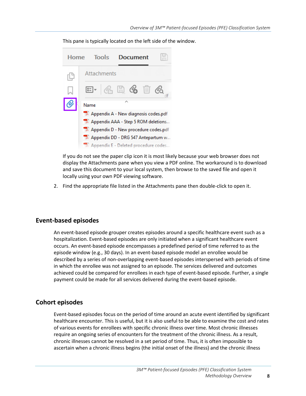This pane is typically located on the left side of the window.

| Home |      | <b>Tools</b>                                     | Document |                                                                                                                                                                                                   |
|------|------|--------------------------------------------------|----------|---------------------------------------------------------------------------------------------------------------------------------------------------------------------------------------------------|
| 凹    |      | Attachments                                      |          |                                                                                                                                                                                                   |
|      |      | $\mathbf{E}$ - G H G $\mathbf{E}$ O $\mathbf{E}$ |          |                                                                                                                                                                                                   |
|      | Name |                                                  |          | Appendix A - New diagnosis codes.pdf<br>Appendix AAA - Step 5 ROM deletions<br>Appendix D - New procedure codes.pdf<br>Appendix DD - DRG 547 Antepartum w<br>Appendix E - Deleted procedure codes |

If you do not see the paper clip icon it is most likely because your web browser does not display the Attachments pane when you view a PDF online. The workaround is to download and save this document to your local system, then browse to the saved file and open it locally using your own PDF viewing software.

2. Find the appropriate file listed in the Attachments pane then double-click to open it.

#### <span id="page-7-0"></span>**Event-based episodes**

An event-based episode grouper creates episodes around a specific healthcare event such as a hospitalization. Event-based episodes are only initiated when a significant healthcare event occurs. An event-based episode encompasses a predefined period of time referred to as the episode window (e.g., 30 days). In an event-based episode model an enrollee would be described by a series of non-overlapping event-based episodes interspersed with periods of time in which the enrollee was not assigned to an episode. The services delivered and outcomes achieved could be compared for enrollees in each type of event-based episode. Further, a single payment could be made for all services delivered during the event-based episode.

#### <span id="page-7-1"></span>**Cohort episodes**

Event-based episodes focus on the period of time around an acute event identified by significant healthcare encounter. This is useful, but it is also useful to be able to examine the cost and rates of various events for enrollees with specific chronic illness over time. Most chronic illnesses require an ongoing series of encounters for the treatment of the chronic illness. As a result, chronic illnesses cannot be resolved in a set period of time. Thus, it is often impossible to ascertain when a chronic illness begins (the initial onset of the illness) and the chronic illness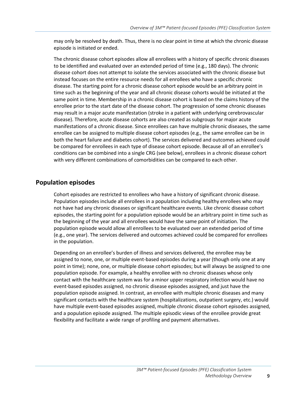may only be resolved by death. Thus, there is no clear point in time at which the chronic disease episode is initiated or ended.

The chronic disease cohort episodes allow all enrollees with a history of specific chronic diseases to be identified and evaluated over an extended period of time (e.g., 180 days). The chronic disease cohort does not attempt to isolate the services associated with the chronic disease but instead focuses on the entire resource needs for all enrollees who have a specific chronic disease. The starting point for a chronic disease cohort episode would be an arbitrary point in time such as the beginning of the year and all chronic disease cohorts would be initiated at the same point in time. Membership in a chronic disease cohort is based on the claims history of the enrollee prior to the start date of the disease cohort. The progression of some chronic diseases may result in a major acute manifestation (stroke in a patient with underlying cerebrovascular disease). Therefore, acute disease cohorts are also created as subgroups for major acute manifestations of a chronic disease. Since enrollees can have multiple chronic diseases, the same enrollee can be assigned to multiple disease cohort episodes (e.g., the same enrollee can be in both the heart failure and diabetes cohort). The services delivered and outcomes achieved could be compared for enrollees in each type of disease cohort episode. Because all of an enrollee's conditions can be combined into a single CRG (see below), enrollees in a chronic disease cohort with very different combinations of comorbidities can be compared to each other.

### <span id="page-8-0"></span>**Population episodes**

Cohort episodes are restricted to enrollees who have a history of significant chronic disease. Population episodes include all enrollees in a population including healthy enrollees who may not have had any chronic diseases or significant healthcare events. Like chronic disease cohort episodes, the starting point for a population episode would be an arbitrary point in time such as the beginning of the year and all enrollees would have the same point of initiation. The population episode would allow all enrollees to be evaluated over an extended period of time (e.g., one year). The services delivered and outcomes achieved could be compared for enrollees in the population.

<span id="page-8-1"></span>Depending on an enrollee's burden of illness and services delivered, the enrollee may be assigned to none, one, or multiple event-based episodes during a year (though only one at any point in time); none, one, or multiple disease cohort episodes; but will always be assigned to one population episode. For example, a healthy enrollee with no chronic diseases whose only contact with the healthcare system was for a minor upper respiratory infection would have no event-based episodes assigned, no chronic disease episodes assigned, and just have the population episode assigned. In contrast, an enrollee with multiple chronic diseases and many significant contacts with the healthcare system (hospitalizations, outpatient surgery, etc.) would have multiple event-based episodes assigned, multiple chronic disease cohort episodes assigned, and a population episode assigned. The multiple episodic views of the enrollee provide great flexibility and facilitate a wide range of profiling and payment alternatives.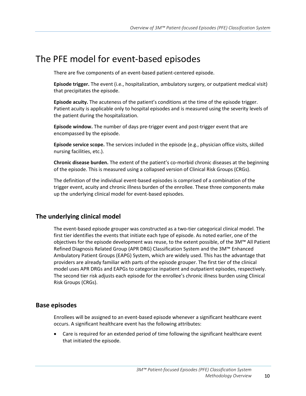# The PFE model for event-based episodes

There are five components of an event-based patient-centered episode.

**Episode trigger.** The event (i.e., hospitalization, ambulatory surgery, or outpatient medical visit) that precipitates the episode.

**Episode acuity.** The acuteness of the patient's conditions at the time of the episode trigger. Patient acuity is applicable only to hospital episodes and is measured using the severity levels of the patient during the hospitalization.

**Episode window.** The number of days pre-trigger event and post-trigger event that are encompassed by the episode.

**Episode service scope.** The services included in the episode (e.g., physician office visits, skilled nursing facilities, etc.).

**Chronic disease burden.** The extent of the patient's co-morbid chronic diseases at the beginning of the episode. This is measured using a collapsed version of Clinical Risk Groups (CRGs).

The definition of the individual event-based episodes is comprised of a combination of the trigger event, acuity and chronic illness burden of the enrollee. These three components make up the underlying clinical model for event-based episodes.

### <span id="page-9-0"></span>**The underlying clinical model**

The event-based episode grouper was constructed as a two-tier categorical clinical model. The first tier identifies the events that initiate each type of episode. As noted earlier, one of the objectives for the episode development was reuse, to the extent possible, of the 3M™ All Patient Refined Diagnosis Related Group (APR DRG) Classification System and the 3M™ Enhanced Ambulatory Patient Groups (EAPG) System, which are widely used. This has the advantage that providers are already familiar with parts of the episode grouper. The first tier of the clinical model uses APR DRGs and EAPGs to categorize inpatient and outpatient episodes, respectively. The second tier risk adjusts each episode for the enrollee's chronic illness burden using Clinical Risk Groups (CRGs).

#### <span id="page-9-1"></span>**Base episodes**

Enrollees will be assigned to an event-based episode whenever a significant healthcare event occurs. A significant healthcare event has the following attributes:

• Care is required for an extended period of time following the significant healthcare event that initiated the episode.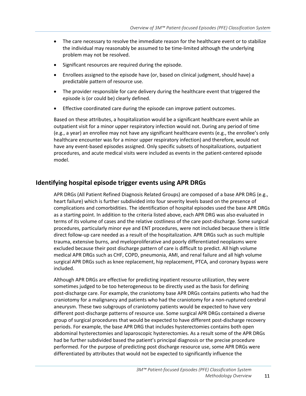- The care necessary to resolve the immediate reason for the healthcare event or to stabilize the individual may reasonably be assumed to be time-limited although the underlying problem may not be resolved.
- Significant resources are required during the episode.
- Enrollees assigned to the episode have (or, based on clinical judgment, should have) a predictable pattern of resource use.
- The provider responsible for care delivery during the healthcare event that triggered the episode is (or could be) clearly defined.
- Effective coordinated care during the episode can improve patient outcomes.

Based on these attributes, a hospitalization would be a significant healthcare event while an outpatient visit for a minor upper respiratory infection would not. During any period of time (e.g., a year) an enrollee may not have any significant healthcare events (e.g., the enrollee's only healthcare encounter was for a minor upper respiratory infection) and therefore, would not have any event-based episodes assigned. Only specific subsets of hospitalizations, outpatient procedures, and acute medical visits were included as events in the patient-centered episode model.

### <span id="page-10-0"></span>**Identifying hospital episode trigger events using APR DRGs**

APR DRGs (All Patient Refined Diagnosis Related Groups) are composed of a base APR DRG (e.g., heart failure) which is further subdivided into four severity levels based on the presence of complications and comorbidities. The identification of hospital episodes used the base APR DRGs as a starting point. In addition to the criteria listed above, each APR DRG was also evaluated in terms of its volume of cases and the relative costliness of the care post-discharge. Some surgical procedures, particularly minor eye and ENT procedures, were not included because there is little direct follow-up care needed as a result of the hospitalization. APR DRGs such as such multiple trauma, extensive burns, and myeloproliferative and poorly differentiated neoplasms were excluded because their post discharge pattern of care is difficult to predict. All high volume medical APR DRGs such as CHF, COPD, pneumonia, AMI, and renal failure and all high volume surgical APR DRGs such as knee replacement, hip replacement, PTCA, and coronary bypass were included.

Although APR DRGs are effective for predicting inpatient resource utilization, they were sometimes judged to be too heterogeneous to be directly used as the basis for defining post-discharge care. For example, the craniotomy base APR DRGs contains patients who had the craniotomy for a malignancy and patients who had the craniotomy for a non-ruptured cerebral aneurysm. These two subgroups of craniotomy patients would be expected to have very different post-discharge patterns of resource use. Some surgical APR DRGs contained a diverse group of surgical procedures that would be expected to have different post-discharge recovery periods. For example, the base APR DRG that includes hysterectomies contains both open abdominal hysterectomies and laparoscopic hysterectomies. As a result some of the APR DRGs had be further subdivided based the patient's principal diagnosis or the precise procedure performed. For the purpose of predicting post discharge resource use, some APR DRGs were differentiated by attributes that would not be expected to significantly influence the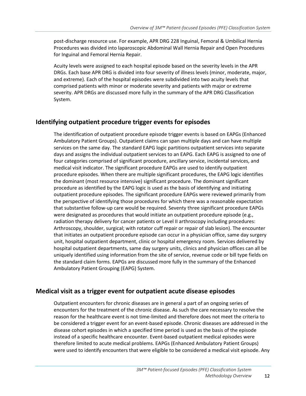post-discharge resource use. For example, APR DRG 228 Inguinal, Femoral & Umbilical Hernia Procedures was divided into laparoscopic Abdominal Wall Hernia Repair and Open Procedures for Inguinal and Femoral Hernia Repair.

Acuity levels were assigned to each hospital episode based on the severity levels in the APR DRGs. Each base APR DRG is divided into four severity of illness levels (minor, moderate, major, and extreme). Each of the hospital episodes were subdivided into two acuity levels that comprised patients with minor or moderate severity and patients with major or extreme severity. APR DRGs are discussed more fully in the summary of the APR DRG Classification System.

### <span id="page-11-0"></span>**Identifying outpatient procedure trigger events for episodes**

The identification of outpatient procedure episode trigger events is based on EAPGs (Enhanced Ambulatory Patient Groups). Outpatient claims can span multiple days and can have multiple services on the same day. The standard EAPG logic partitions outpatient services into separate days and assigns the individual outpatient services to an EAPG. Each EAPG is assigned to one of four categories comprised of significant procedure, ancillary service, incidental services, and medical visit indicator. The significant procedure EAPGs are used to identify outpatient procedure episodes. When there are multiple significant procedures, the EAPG logic identifies the dominant (most resource intensive) significant procedure. The dominant significant procedure as identified by the EAPG logic is used as the basis of identifying and initiating outpatient procedure episodes. The significant procedure EAPGs were reviewed primarily from the perspective of identifying those procedures for which there was a reasonable expectation that substantive follow-up care would be required. Seventy three significant procedure EAPGs were designated as procedures that would initiate an outpatient procedure episode (e.g., radiation therapy delivery for cancer patients or Level II arthroscopy including procedures: Arthroscopy, shoulder, surgical; with rotator cuff repair or repair of slab lesion). The encounter that initiates an outpatient procedure episode can occur in a physician office, same day surgery unit, hospital outpatient department, clinic or hospital emergency room. Services delivered by hospital outpatient departments, same day surgery units, clinics and physician offices can all be uniquely identified using information from the site of service, revenue code or bill type fields on the standard claim forms. EAPGs are discussed more fully in the summary of the Enhanced Ambulatory Patient Grouping (EAPG) System.

### <span id="page-11-1"></span>**Medical visit as a trigger event for outpatient acute disease episodes**

Outpatient encounters for chronic diseases are in general a part of an ongoing series of encounters for the treatment of the chronic disease. As such the care necessary to resolve the reason for the healthcare event is not time-limited and therefore does not meet the criteria to be considered a trigger event for an event-based episode. Chronic diseases are addressed in the disease cohort episodes in which a specified time period is used as the basis of the episode instead of a specific healthcare encounter. Event-based outpatient medical episodes were therefore limited to acute medical problems. EAPGs (Enhanced Ambulatory Patient Groups) were used to identify encounters that were eligible to be considered a medical visit episode. Any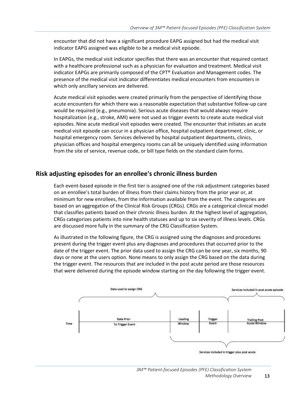encounter that did not have a significant procedure EAPG assigned but had the medical visit indicator EAPG assigned was eligible to be a medical visit episode.

In EAPGs, the medical visit indicator specifies that there was an encounter that required contact with a healthcare professional such as a physician for evaluation and treatment. Medical visit indicator EAPGs are primarily composed of the CPT® Evaluation and Management codes. The presence of the medical visit indicator differentiates medical encounters from encounters in which only ancillary services are delivered.

Acute medical visit episodes were created primarily from the perspective of identifying those acute encounters for which there was a reasonable expectation that substantive follow-up care would be required (e.g., pneumonia). Serious acute diseases that would always require hospitalization (e.g., stroke, AMI) were not used as trigger events to create acute medical visit episodes. Nine acute medical visit episodes were created. The encounter that initiates an acute medical visit episode can occur in a physician office, hospital outpatient department, clinic, or hospital emergency room. Services delivered by hospital outpatient departments, clinics, physician offices and hospital emergency rooms can all be uniquely identified using information from the site of service, revenue code, or bill type fields on the standard claim forms.

### <span id="page-12-0"></span>**Risk adjusting episodes for an enrollee's chronic illness burden**

Each event-based episode in the first tier is assigned one of the risk adjustment categories based on an enrollee's total burden of illness from their claims history from the prior year or, at minimum for new enrollees, from the information available from the event. The categories are based on an aggregation of the Clinical Risk Groups (CRGs). CRGs are a categorical clinical model that classifies patients based on their chronic illness burden. At the highest level of aggregation, CRGs categorizes patients into nine health statuses and up to six severity of illness levels. CRGs are discussed more fully in the summary of the CRG Classification System.

As illustrated in the following figure, the CRG is assigned using the diagnoses and procedures present during the trigger event plus any diagnoses and procedures that occurred prior to the date of the trigger event. The prior data used to assign the CRG can be one year, six months, 90 days or none at the users option. None means to only assign the CRG based on the data during the trigger event. The resources that are included in the post acute period are those resources that were delivered during the episode window starting on the day following the trigger event.

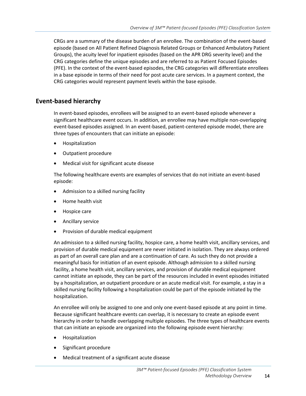CRGs are a summary of the disease burden of an enrollee. The combination of the event-based episode (based on All Patient Refined Diagnosis Related Groups or Enhanced Ambulatory Patient Groups), the acuity level for inpatient episodes (based on the APR DRG severity level) and the CRG categories define the unique episodes and are referred to as Patient Focused Episodes (PFE). In the context of the event-based episodes, the CRG categories will differentiate enrollees in a base episode in terms of their need for post acute care services. In a payment context, the CRG categories would represent payment levels within the base episode.

### <span id="page-13-0"></span>**Event-based hierarchy**

In event-based episodes, enrollees will be assigned to an event-based episode whenever a significant healthcare event occurs. In addition, an enrollee may have multiple non-overlapping event-based episodes assigned. In an event-based, patient-centered episode model, there are three types of encounters that can initiate an episode:

- Hospitalization
- Outpatient procedure
- Medical visit for significant acute disease

The following healthcare events are examples of services that do not initiate an event-based episode:

- Admission to a skilled nursing facility
- Home health visit
- Hospice care
- Ancillary service
- Provision of durable medical equipment

An admission to a skilled nursing facility, hospice care, a home health visit, ancillary services, and provision of durable medical equipment are never initiated in isolation. They are always ordered as part of an overall care plan and are a continuation of care. As such they do not provide a meaningful basis for initiation of an event episode. Although admission to a skilled nursing facility, a home health visit, ancillary services, and provision of durable medical equipment cannot initiate an episode, they can be part of the resources included in event episodes initiated by a hospitalization, an outpatient procedure or an acute medical visit. For example, a stay in a skilled nursing facility following a hospitalization could be part of the episode initiated by the hospitalization.

An enrollee will only be assigned to one and only one event-based episode at any point in time. Because significant healthcare events can overlap, it is necessary to create an episode event hierarchy in order to handle overlapping multiple episodes. The three types of healthcare events that can initiate an episode are organized into the following episode event hierarchy:

- Hospitalization
- Significant procedure
- Medical treatment of a significant acute disease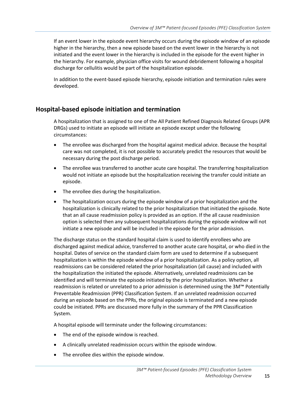If an event lower in the episode event hierarchy occurs during the episode window of an episode higher in the hierarchy, then a new episode based on the event lower in the hierarchy is not initiated and the event lower in the hierarchy is included in the episode for the event higher in the hierarchy. For example, physician office visits for wound debridement following a hospital discharge for cellulitis would be part of the hospitalization episode.

In addition to the event-based episode hierarchy, episode initiation and termination rules were developed.

### <span id="page-14-0"></span>**Hospital-based episode initiation and termination**

A hospitalization that is assigned to one of the All Patient Refined Diagnosis Related Groups (APR DRGs) used to initiate an episode will initiate an episode except under the following circumstances:

- The enrollee was discharged from the hospital against medical advice. Because the hospital care was not completed, it is not possible to accurately predict the resources that would be necessary during the post discharge period.
- The enrollee was transferred to another acute care hospital. The transferring hospitalization would not initiate an episode but the hospitalization receiving the transfer could initiate an episode.
- The enrollee dies during the hospitalization.
- The hospitalization occurs during the episode window of a prior hospitalization and the hospitalization is clinically related to the prior hospitalization that initiated the episode. Note that an all cause readmission policy is provided as an option. If the all cause readmission option is selected then any subsequent hospitalizations during the episode window will not initiate a new episode and will be included in the episode for the prior admission.

The discharge status on the standard hospital claim is used to identify enrollees who are discharged against medical advice, transferred to another acute care hospital, or who died in the hospital. Dates of service on the standard claim form are used to determine if a subsequent hospitalization is within the episode window of a prior hospitalization. As a policy option, all readmissions can be considered related the prior hospitalization (all cause) and included with the hospitalization the initiated the episode. Alternatively, unrelated readmissions can be identified and will terminate the episode initiated by the prior hospitalization. Whether a readmission is related or unrelated to a prior admission is determined using the 3M™ Potentially Preventable Readmission (PPR) Classification System. If an unrelated readmission occurred during an episode based on the PPRs, the original episode is terminated and a new episode could be initiated. PPRs are discussed more fully in the summary of the PPR Classification System.

A hospital episode will terminate under the following circumstances:

- The end of the episode window is reached.
- A clinically unrelated readmission occurs within the episode window.
- The enrollee dies within the episode window.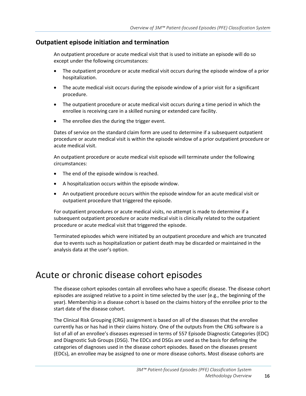### <span id="page-15-0"></span>**Outpatient episode initiation and termination**

An outpatient procedure or acute medical visit that is used to initiate an episode will do so except under the following circumstances:

- The outpatient procedure or acute medical visit occurs during the episode window of a prior hospitalization.
- The acute medical visit occurs during the episode window of a prior visit for a significant procedure.
- The outpatient procedure or acute medical visit occurs during a time period in which the enrollee is receiving care in a skilled nursing or extended care facility.
- The enrollee dies the during the trigger event.

Dates of service on the standard claim form are used to determine if a subsequent outpatient procedure or acute medical visit is within the episode window of a prior outpatient procedure or acute medical visit.

An outpatient procedure or acute medical visit episode will terminate under the following circumstances:

- The end of the episode window is reached.
- A hospitalization occurs within the episode window.
- An outpatient procedure occurs within the episode window for an acute medical visit or outpatient procedure that triggered the episode.

For outpatient procedures or acute medical visits, no attempt is made to determine if a subsequent outpatient procedure or acute medical visit is clinically related to the outpatient procedure or acute medical visit that triggered the episode.

Terminated episodes which were initiated by an outpatient procedure and which are truncated due to events such as hospitalization or patient death may be discarded or maintained in the analysis data at the user's option.

# <span id="page-15-1"></span>Acute or chronic disease cohort episodes

The disease cohort episodes contain all enrollees who have a specific disease. The disease cohort episodes are assigned relative to a point in time selected by the user (e.g., the beginning of the year). Membership in a disease cohort is based on the claims history of the enrollee prior to the start date of the disease cohort.

The Clinical Risk Grouping (CRG) assignment is based on all of the diseases that the enrollee currently has or has had in their claims history. One of the outputs from the CRG software is a list of all of an enrollee's diseases expressed in terms of 557 Episode Diagnostic Categories (EDC) and Diagnostic Sub Groups (DSG). The EDCs and DSGs are used as the basis for defining the categories of diagnoses used in the disease cohort episodes. Based on the diseases present (EDCs), an enrollee may be assigned to one or more disease cohorts. Most disease cohorts are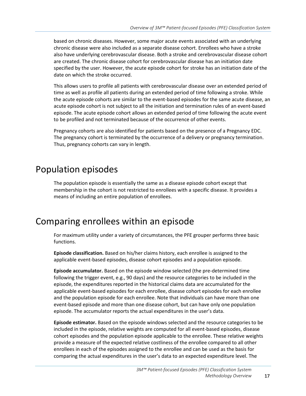based on chronic diseases. However, some major acute events associated with an underlying chronic disease were also included as a separate disease cohort. Enrollees who have a stroke also have underlying cerebrovascular disease. Both a stroke and cerebrovascular disease cohort are created. The chronic disease cohort for cerebrovascular disease has an initiation date specified by the user. However, the acute episode cohort for stroke has an initiation date of the date on which the stroke occurred.

This allows users to profile all patients with cerebrovascular disease over an extended period of time as well as profile all patients during an extended period of time following a stroke. While the acute episode cohorts are similar to the event-based episodes for the same acute disease, an acute episode cohort is not subject to all the initiation and termination rules of an event-based episode. The acute episode cohort allows an extended period of time following the acute event to be profiled and not terminated because of the occurrence of other events.

Pregnancy cohorts are also identified for patients based on the presence of a Pregnancy EDC. The pregnancy cohort is terminated by the occurrence of a delivery or pregnancy termination. Thus, pregnancy cohorts can vary in length.

# <span id="page-16-0"></span>Population episodes

The population episode is essentially the same as a disease episode cohort except that membership in the cohort is not restricted to enrollees with a specific disease. It provides a means of including an entire population of enrollees.

# <span id="page-16-1"></span>Comparing enrollees within an episode

For maximum utility under a variety of circumstances, the PFE grouper performs three basic functions.

**Episode classification.** Based on his/her claims history, each enrollee is assigned to the applicable event-based episodes, disease cohort episodes and a population episode.

**Episode accumulator.** Based on the episode window selected (the pre-determined time following the trigger event, e.g., 90 days) and the resource categories to be included in the episode, the expenditures reported in the historical claims data are accumulated for the applicable event-based episodes for each enrollee, disease cohort episodes for each enrollee and the population episode for each enrollee. Note that individuals can have more than one event-based episode and more than one disease cohort, but can have only one population episode. The accumulator reports the actual expenditures in the user's data.

**Episode estimator.** Based on the episode windows selected and the resource categories to be included in the episode, relative weights are computed for all event-based episodes, disease cohort episodes and the population episode applicable to the enrollee. These relative weights provide a measure of the expected relative costliness of the enrollee compared to all other enrollees in each of the episodes assigned to the enrollee and can be used as the basis for comparing the actual expenditures in the user's data to an expected expenditure level. The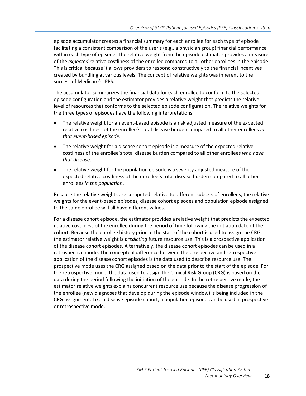episode accumulator creates a financial summary for each enrollee for each type of episode facilitating a consistent comparison of the user's (e.g., a physician group) financial performance within each type of episode. The relative weight from the episode estimator provides a measure of the *expected* relative costliness of the enrollee compared to all other enrollees in the episode. This is critical because it allows providers to respond constructively to the financial incentives created by bundling at various levels. The concept of relative weights was inherent to the success of Medicare's IPPS.

The accumulator summarizes the financial data for each enrollee to conform to the selected episode configuration and the estimator provides a relative weight that predicts the relative level of resources that conforms to the selected episode configuration. The relative weights for the three types of episodes have the following interpretations:

- The relative weight for an event-based episode is a risk adjusted measure of the expected relative costliness of the enrollee's total disease burden compared to all other enrollees *in that event-based episode*.
- The relative weight for a disease cohort episode is a measure of the expected relative costliness of the enrollee's total disease burden compared to all other enrollees *who have that disease*.
- The relative weight for the population episode is a severity adjusted measure of the expected relative costliness of the enrollee's total disease burden compared to all other enrollees *in the population*.

Because the relative weights are computed relative to different subsets of enrollees, the relative weights for the event-based episodes, disease cohort episodes and population episode assigned to the same enrollee will all have different values.

<span id="page-17-0"></span>For a disease cohort episode, the estimator provides a relative weight that predicts the expected relative costliness of the enrollee during the period of time following the initiation date of the cohort. Because the enrollee history prior to the start of the cohort is used to assign the CRG, the estimator relative weight is *predicting* future resource use. This is a prospective application of the disease cohort episodes. Alternatively, the disease cohort episodes can be used in a retrospective mode. The conceptual difference between the prospective and retrospective application of the disease cohort episodes is the data used to describe resource use. The prospective mode uses the CRG assigned based on the data prior to the start of the episode. For the retrospective mode, the data used to assign the Clinical Risk Group (CRG) is based on the data during the period following the initiation of the episode. In the retrospective mode, the estimator relative weights explains concurrent resource use because the disease progression of the enrollee (new diagnoses that develop during the episode window) is being included in the CRG assignment. Like a disease episode cohort, a population episode can be used in prospective or retrospective mode.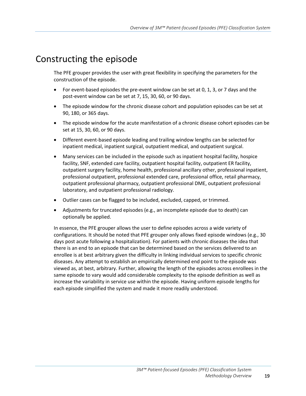# Constructing the episode

The PFE grouper provides the user with great flexibility in specifying the parameters for the construction of the episode.

- For event-based episodes the pre-event window can be set at 0, 1, 3, or 7 days and the post-event window can be set at 7, 15, 30, 60, or 90 days.
- The episode window for the chronic disease cohort and population episodes can be set at 90, 180, or 365 days.
- The episode window for the acute manifestation of a chronic disease cohort episodes can be set at 15, 30, 60, or 90 days.
- Different event-based episode leading and trailing window lengths can be selected for inpatient medical, inpatient surgical, outpatient medical, and outpatient surgical.
- Many services can be included in the episode such as inpatient hospital facility, hospice facility, SNF, extended care facility, outpatient hospital facility, outpatient ER facility, outpatient surgery facility, home health, professional ancillary other, professional inpatient, professional outpatient, professional extended care, professional office, retail pharmacy, outpatient professional pharmacy, outpatient professional DME, outpatient professional laboratory, and outpatient professional radiology.
- Outlier cases can be flagged to be included, excluded, capped, or trimmed.
- Adjustments for truncated episodes (e.g., an incomplete episode due to death) can optionally be applied.

In essence, the PFE grouper allows the user to define episodes across a wide variety of configurations. It should be noted that PFE grouper only allows fixed episode windows (e.g., 30 days post acute following a hospitalization). For patients with chronic diseases the idea that there is an end to an episode that can be determined based on the services delivered to an enrollee is at best arbitrary given the difficulty in linking individual services to specific chronic diseases. Any attempt to establish an empirically determined end point to the episode was viewed as, at best, arbitrary. Further, allowing the length of the episodes across enrollees in the same episode to vary would add considerable complexity to the episode definition as well as increase the variability in service use within the episode. Having uniform episode lengths for each episode simplified the system and made it more readily understood.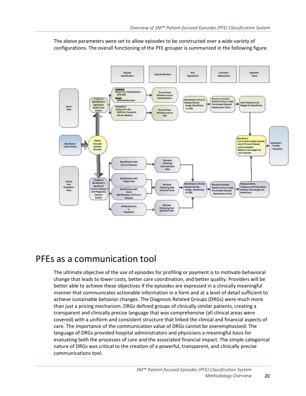The above parameters were set to allow episodes to be constructed over a wide variety of configurations. The overall functioning of the PFE grouper is summarized in the following figure.



## <span id="page-19-0"></span>PFEs as a communication tool

The ultimate objective of the use of episodes for profiling or payment is to motivate behavioral change that leads to lower costs, better care coordination, and better quality. Providers will be better able to achieve these objectives if the episodes are expressed in a clinically meaningful manner that communicates actionable information in a form and at a level of detail sufficient to achieve sustainable behavior changes. The Diagnosis Related Groups (DRGs) were much more than just a pricing mechanism. DRGs defined groups of clinically similar patients, creating a transparent and clinically precise language that was comprehensive (all clinical areas were covered) with a uniform and consistent structure that linked the clinical and financial aspects of care. The importance of the communication value of DRGs cannot be overemphasized. The language of DRGs provided hospital administrators and physicians a meaningful basis for evaluating both the processes of care and the associated financial impact. The simple categorical nature of DRGs was critical to the creation of a powerful, transparent, and clinically precise communications tool.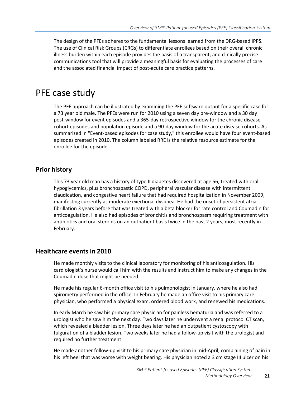The design of the PFEs adheres to the fundamental lessons learned from the DRG-based IPPS. The use of Clinical Risk Groups (CRGs) to differentiate enrollees based on their overall chronic illness burden within each episode provides the basis of a transparent, and clinically precise communications tool that will provide a meaningful basis for evaluating the processes of care and the associated financial impact of post-acute care practice patterns.

# <span id="page-20-0"></span>PFE case study

The PFE approach can be illustrated by examining the PFE software output for a specific case for a 73 year old male. The PFEs were run for 2010 using a seven day pre-window and a 30 day post-window for event episodes and a 365-day retrospective window for the chronic disease cohort episodes and population episode and a 90-day window for the acute disease cohorts. As summarized in "Event-based episodes for case study," this enrollee would have four event-based episodes created in 2010. The column labeled RRE is the relative resource estimate for the enrollee for the episode.

### <span id="page-20-1"></span>**Prior history**

This 73 year old man has a history of type II diabetes discovered at age 56, treated with oral hypoglycemics, plus bronchospastic COPD, peripheral vascular disease with intermittent claudication, and congestive heart failure that had required hospitalization in November 2009, manifesting currently as moderate exertional dyspnea. He had the onset of persistent atrial fibrillation 3 years before that was treated with a beta blocker for rate control and Coumadin for anticoagulation. He also had episodes of bronchitis and bronchospasm requiring treatment with antibiotics and oral steroids on an outpatient basis twice in the past 2 years, most recently in February.

### <span id="page-20-2"></span>**Healthcare events in 2010**

He made monthly visits to the clinical laboratory for monitoring of his anticoagulation. His cardiologist's nurse would call him with the results and instruct him to make any changes in the Coumadin dose that might be needed.

He made his regular 6-month office visit to his pulmonologist in January, where he also had spirometry performed in the office. In February he made an office visit to his primary care physician, who performed a physical exam, ordered blood work, and renewed his medications.

In early March he saw his primary care physician for painless hematuria and was referred to a urologist who he saw him the next day. Two days later he underwent a renal protocol CT scan, which revealed a bladder lesion. Three days later he had an outpatient cystoscopy with fulguration of a bladder lesion. Two weeks later he had a follow-up visit with the urologist and required no further treatment.

He made another follow-up visit to his primary care physician in mid-April, complaining of pain in his left heel that was worse with weight bearing. His physician noted a 3 cm stage III ulcer on his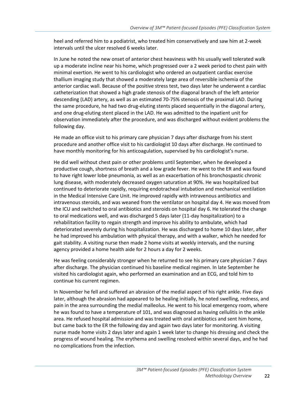heel and referred him to a podiatrist, who treated him conservatively and saw him at 2-week intervals until the ulcer resolved 6 weeks later.

In June he noted the new onset of anterior chest heaviness with his usually well tolerated walk up a moderate incline near his home, which progressed over a 2 week period to chest pain with minimal exertion. He went to his cardiologist who ordered an outpatient cardiac exercise thallium imaging study that showed a moderately large area of reversible ischemia of the anterior cardiac wall. Because of the positive stress test, two days later he underwent a cardiac catheterization that showed a high grade stenosis of the diagonal branch of the left anterior descending (LAD) artery, as well as an estimated 70-75% stenosis of the proximal LAD. During the same procedure, he had two drug-eluting stents placed sequentially in the diagonal artery, and one drug-eluting stent placed in the LAD. He was admitted to the inpatient unit for observation immediately after the procedure, and was discharged without evident problems the following day.

He made an office visit to his primary care physician 7 days after discharge from his stent procedure and another office visit to his cardiologist 10 days after discharge. He continued to have monthly monitoring for his anticoagulation, supervised by his cardiologist's nurse.

He did well without chest pain or other problems until September, when he developed a productive cough, shortness of breath and a low grade fever. He went to the ER and was found to have right lower lobe pneumonia, as well as an exacerbation of his bronchospastic chronic lung disease, with moderately decreased oxygen saturation at 90%. He was hospitalized but continued to deteriorate rapidly, requiring endotracheal intubation and mechanical ventilation in the Medical Intensive Care Unit. He improved rapidly with intravenous antibiotics and intravenous steroids, and was weaned from the ventilator on hospital day 4. He was moved from the ICU and switched to oral antibiotics and steroids on hospital day 6. He tolerated the change to oral medications well, and was discharged 5 days later (11-day hospitalization) to a rehabilitation facility to regain strength and improve his ability to ambulate, which had deteriorated severely during his hospitalization. He was discharged to home 10 days later, after he had improved his ambulation with physical therapy, and with a walker, which he needed for gait stability. A visiting nurse then made 2 home visits at weekly intervals, and the nursing agency provided a home health aide for 2 hours a day for 2 weeks.

He was feeling considerably stronger when he returned to see his primary care physician 7 days after discharge. The physician continued his baseline medical regimen. In late September he visited his cardiologist again, who performed an examination and an ECG, and told him to continue his current regimen.

In November he fell and suffered an abrasion of the medial aspect of his right ankle. Five days later, although the abrasion had appeared to be healing initially, he noted swelling, redness, and pain in the area surrounding the medial malleolus. He went to his local emergency room, where he was found to have a temperature of 101, and was diagnosed as having cellulitis in the ankle area. He refused hospital admission and was treated with oral antibiotics and sent him home, but came back to the ER the following day and again two days later for monitoring. A visiting nurse made home visits 2 days later and again 1 week later to change his dressing and check the progress of wound healing. The erythema and swelling resolved within several days, and he had no complications from the infection.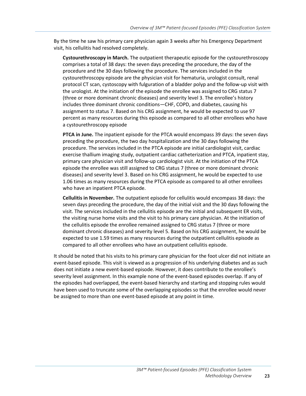By the time he saw his primary care physician again 3 weeks after his Emergency Department visit, his cellulitis had resolved completely.

**Cystourethroscopy in March.** The outpatient therapeutic episode for the cystourethroscopy comprises a total of 38 days: the seven days preceding the procedure, the day of the procedure and the 30 days following the procedure. The services included in the cystourethroscopy episode are the physician visit for hematuria, urologist consult, renal protocol CT scan, cystoscopy with fulguration of a bladder polyp and the follow-up visit with the urologist. At the initiation of the episode the enrollee was assigned to CRG status 7 (three or more dominant chronic diseases) and severity level 3. The enrollee's history includes three dominant chronic conditions—CHF, COPD, and diabetes, causing his assignment to status 7. Based on his CRG assignment, he would be expected to use 97 percent as many resources during this episode as compared to all other enrollees who have a cystourethroscopy episode

**PTCA in June.** The inpatient episode for the PTCA would encompass 39 days: the seven days preceding the procedure, the two day hospitalization and the 30 days following the procedure. The services included in the PTCA episode are initial cardiologist visit, cardiac exercise thallium imaging study, outpatient cardiac catheterization and PTCA, inpatient stay, primary care physician visit and follow-up cardiologist visit. At the initiation of the PTCA episode the enrollee was still assigned to CRG status 7 (three or more dominant chronic diseases) and severity level 3. Based on his CRG assignment, he would be expected to use 1.06 times as many resources during the PTCA episode as compared to all other enrollees who have an inpatient PTCA episode.

**Cellulitis in November.** The outpatient episode for cellulitis would encompass 38 days: the seven days preceding the procedure, the day of the initial visit and the 30 days following the visit. The services included in the cellulitis episode are the initial and subsequent ER visits, the visiting nurse home visits and the visit to his primary care physician. At the initiation of the cellulitis episode the enrollee remained assigned to CRG status 7 (three or more dominant chronic diseases) and severity level 5. Based on his CRG assignment, he would be expected to use 1.59 times as many resources during the outpatient cellulitis episode as compared to all other enrollees who have an outpatient cellulitis episode.

It should be noted that his visits to his primary care physician for the foot ulcer did not initiate an event-based episode. This visit is viewed as a progression of his underlying diabetes and as such does not initiate a new event-based episode. However, it does contribute to the enrollee's severity level assignment. In this example none of the event-based episodes overlap. If any of the episodes had overlapped, the event-based hierarchy and starting and stopping rules would have been used to truncate some of the overlapping episodes so that the enrollee would never be assigned to more than one event-based episode at any point in time.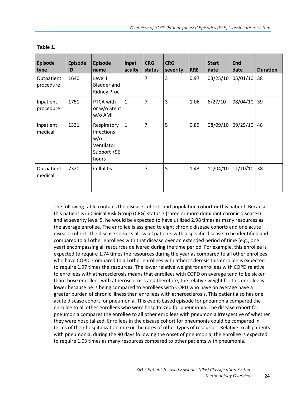| <b>Episode</b><br>type  | <b>Episode</b><br>ID | <b>Episode</b><br>name                                                 | Inpat<br>acuity | <b>CRG</b><br>status | <b>CRG</b><br>severity | <b>RRE</b> | <b>Start</b><br>date | <b>End</b><br>date | <b>Duration</b> |
|-------------------------|----------------------|------------------------------------------------------------------------|-----------------|----------------------|------------------------|------------|----------------------|--------------------|-----------------|
| Outpatient<br>procedure | 1640                 | Level II<br><b>Bladder and</b><br>Kidney Proc                          |                 | $\overline{7}$       | 3                      | 0.97       | 03/25/10             | 05/01/10           | 38              |
| Inpatient<br>procedure  | 1751                 | PTCA with<br>or w/o Stent<br>w/o AMI                                   | $\mathbf{1}$    | $\overline{7}$       | 3                      | 1.06       | 6/27/10              | 08/04/10           | 39              |
| Inpatient<br>medical    | 1331                 | Respiratory<br>infections<br>w/o<br>Ventilator<br>Support >96<br>hours | $\mathbf{1}$    | $\overline{7}$       | 5                      | 0.89       | 08/09/10             | 09/25/10           | 48              |
| Outpatient<br>medical   | 7320                 | <b>Cellulitis</b>                                                      |                 | 7                    | 5                      | 1.43       | 11/04/10             | 11/10/10           | 38              |

#### **Table 1.**

The following table contains the disease cohorts and population cohort or this patient. Because this patient is in Clinical Risk Group (CRG) status 7 (three or more dominant chronic diseases) and at severity level 5, he would be expected to have utilized 2.98 times as many resources as the average enrollee. The enrollee is assigned to eight chronic disease cohorts and one acute disease cohort. The disease cohorts allow all patients with a specific disease to be identified and compared to all other enrollees with that disease over an extended period of time (e.g., one year) encompassing all resources delivered during the time period. For example, this enrollee is expected to require 1.74 times the resources during the year as compared to all other enrollees who have COPD. Compared to all other enrollees with atherosclerosis this enrollee is expected to require 1.97 times the resources. The lower relative weight for enrollees with COPD relative to enrollees with atherosclerosis means that enrollees with COPD on average tend to be sicker than those enrollees with atherosclerosis and therefore, the relative weight for this enrollee is lower because he is being compared to enrollees with COPD who have on average have a greater burden of chronic illness than enrollees with atherosclerosis. This patient also has one acute disease cohort for pneumonia. This event-based episode for pneumonia compared the enrollee to all other enrollees who were hospitalized for pneumonia. The disease cohort for pneumonia compares the enrollee to all other enrollees with pneumonia irrespective of whether they were hospitalized. Enrollees in the disease cohort for pneumonia could be compared in terms of their hospitalization rate or the rates of other types of resources. Relative to all patients with pneumonia, during the 90 days following the onset of pneumonia, the enrollee is expected to require 1.03 times as many resources compared to other patients with pneumonia.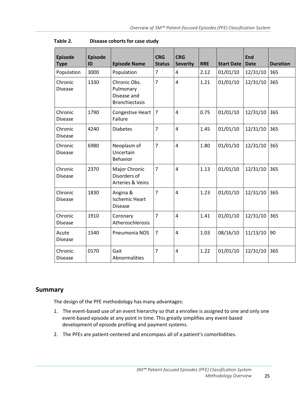| <b>Episode</b><br><b>Type</b> | <b>Episode</b><br>ID | <b>Episode Name</b>                                               | <b>CRG</b><br><b>Status</b> | <b>CRG</b><br><b>Severity</b> | <b>RRE</b> | <b>Start Date</b> | <b>End</b><br><b>Date</b> | <b>Duration</b> |
|-------------------------------|----------------------|-------------------------------------------------------------------|-----------------------------|-------------------------------|------------|-------------------|---------------------------|-----------------|
| Population                    | 3000                 | Population                                                        | $\overline{7}$              | 4                             | 2.12       | 01/01/10          | 12/31/10                  | 365             |
| Chronic<br><b>Disease</b>     | 1330                 | Chronic Obs.<br>Pulmonary<br>Disease and<br><b>Bronchiectasis</b> | $\overline{7}$              | $\overline{4}$                | 1.21       | 01/01/10          | 12/31/10                  | 365             |
| Chronic<br><b>Disease</b>     | 1790                 | Congestive Heart<br>Failure                                       | $\overline{7}$              | $\overline{4}$                | 0.75       | 01/01/10          | 12/31/10                  | 365             |
| Chronic<br><b>Disease</b>     | 4240                 | <b>Diabetes</b>                                                   | $\overline{7}$              | $\overline{4}$                | 1.45       | 01/01/10          | 12/31/10                  | 365             |
| Chronic<br><b>Disease</b>     | 6980                 | Neoplasm of<br>Uncertain<br><b>Behavior</b>                       | $\overline{7}$              | $\overline{4}$                | 1.80       | 01/01/10          | 12/31/10                  | 365             |
| Chronic<br><b>Disease</b>     | 2370                 | Major Chronic<br>Disorders of<br>Arteries & Veins                 | 7                           | 4                             | 1.13       | 01/01/10          | 12/31/10                  | 365             |
| Chronic<br><b>Disease</b>     | 1830                 | Angina &<br><b>Ischemic Heart</b><br><b>Disease</b>               | $\overline{7}$              | 4                             | 1.23       | 01/01/10          | 12/31/10                  | 365             |
| Chronic<br><b>Disease</b>     | 1910                 | Coronary<br>Atheroschlerosis                                      | $\overline{7}$              | $\overline{\mathbf{4}}$       | 1.41       | 01/01/10          | 12/31/10                  | 365             |
| Acute<br><b>Disease</b>       | 1540                 | Pneumonia NOS                                                     | 7                           | 4                             | 1.03       | 08/16/10          | 11/13/10                  | 90              |
| Chronic<br><b>Disease</b>     | 0170                 | Gait<br>Abnormalities                                             | 7                           | 4                             | 1.22       | 01/01/10          | 12/31/10                  | 365             |

### <span id="page-24-0"></span>**Summary**

The design of the PFE methodology has many advantages:

- 1. The event-based use of an event hierarchy so that a enrollee is assigned to one and only one event-based episode at any point in time. This greatly simplifies any event-based development of episode profiling and payment systems.
- 2. The PFEs are patient-centered and encompass all of a patient's comorbidities.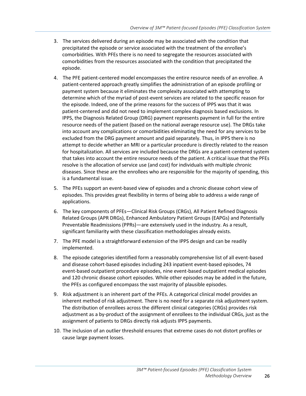- 3. The services delivered during an episode may be associated with the condition that precipitated the episode or service associated with the treatment of the enrollee's comorbidities. With PFEs there is no need to segregate the resources associated with comorbidities from the resources associated with the condition that precipitated the episode.
- 4. The PFE patient-centered model encompasses the entire resource needs of an enrollee. A patient-centered approach greatly simplifies the administration of an episode profiling or payment system because it eliminates the complexity associated with attempting to determine which of the myriad of post-event services are related to the specific reason for the episode. Indeed, one of the prime reasons for the success of IPPS was that it was patient-centered and did not need to implement complex diagnosis based exclusions. In IPPS, the Diagnosis Related Group (DRG) payment represents payment in full for the entire resource needs of the patient (based on the national average resource use). The DRGs take into account any complications or comorbidities eliminating the need for any services to be excluded from the DRG payment amount and paid separately. Thus, in IPPS there is no attempt to decide whether an MRI or a particular procedure is directly related to the reason for hospitalization. All services are included because the DRGs are a patient-centered system that takes into account the entire resource needs of the patient. A critical issue that the PFEs resolve is the allocation of service use (and cost) for individuals with multiple chronic diseases. Since these are the enrollees who are responsible for the majority of spending, this is a fundamental issue.
- 5. The PFEs support an event-based view of episodes and a chronic disease cohort view of episodes. This provides great flexibility in terms of being able to address a wide range of applications.
- 6. The key components of PFEs—Clinical Risk Groups (CRGs), All Patient Refined Diagnosis Related Groups (APR DRGs), Enhanced Ambulatory Patient Groups (EAPGs) and Potentially Preventable Readmissions (PPRs)—are extensively used in the industry. As a result, significant familiarity with these classification methodologies already exists.
- 7. The PFE model is a straightforward extension of the IPPS design and can be readily implemented.
- 8. The episode categories identified form a reasonably comprehensive list of all event-based and disease cohort-based episodes including 243 inpatient event-based episodes, 74 event-based outpatient procedure episodes, nine event-based outpatient medical episodes and 120 chronic disease cohort episodes. While other episodes may be added in the future, the PFEs as configured encompass the vast majority of plausible episodes.
- 9. Risk adjustment is an inherent part of the PFEs. A categorical clinical model provides an inherent method of risk adjustment. There is no need for a separate risk adjustment system. The distribution of enrollees across the different clinical categories (CRGs) provides risk adjustment as a by-product of the assignment of enrollees to the individual CRGs, just as the assignment of patients to DRGs directly risk adjusts IPPS payments.
- 10. The inclusion of an outlier threshold ensures that extreme cases do not distort profiles or cause large payment losses.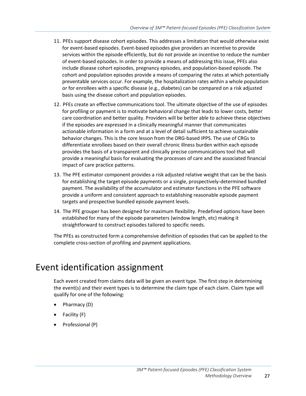- 11. PFEs support disease cohort episodes. This addresses a limitation that would otherwise exist for event-based episodes. Event-based episodes give providers an incentive to provide services within the episode efficiently, but do not provide an incentive to reduce the number of event-based episodes. In order to provide a means of addressing this issue, PFEs also include disease cohort episodes, pregnancy episodes, and population-based episode. The cohort and population episodes provide a means of comparing the rates at which potentially preventable services occur. For example, the hospitalization rates within a whole population or for enrollees with a specific disease (e.g., diabetes) can be compared on a risk adjusted basis using the disease cohort and population episodes.
- 12. PFEs create an effective communications tool. The ultimate objective of the use of episodes for profiling or payment is to motivate behavioral change that leads to lower costs, better care coordination and better quality. Providers will be better able to achieve these objectives if the episodes are expressed in a clinically meaningful manner that communicates actionable information in a form and at a level of detail sufficient to achieve sustainable behavior changes. This is the core lesson from the DRG-based IPPS. The use of CRGs to differentiate enrollees based on their overall chronic illness burden within each episode provides the basis of a transparent and clinically precise communications tool that will provide a meaningful basis for evaluating the processes of care and the associated financial impact of care practice patterns.
- 13. The PFE estimator component provides a risk adjusted relative weight that can be the basis for establishing the target episode payments or a single, prospectively-determined bundled payment. The availability of the accumulator and estimator functions in the PFE software provide a uniform and consistent approach to establishing reasonable episode payment targets and prospective bundled episode payment levels.
- 14. The PFE grouper has been designed for maximum flexibility. Predefined options have been established for many of the episode parameters (window length, etc) making it straightforward to construct episodes tailored to specific needs.

The PFEs as constructed form a comprehensive definition of episodes that can be applied to the complete cross-section of profiling and payment applications.

# <span id="page-26-0"></span>Event identification assignment

Each event created from claims data will be given an event type. The first step in determining the event(s) and their event types is to determine the claim type of each claim. Claim type will qualify for one of the following:

- Pharmacy (D)
- Facility (F)
- Professional (P)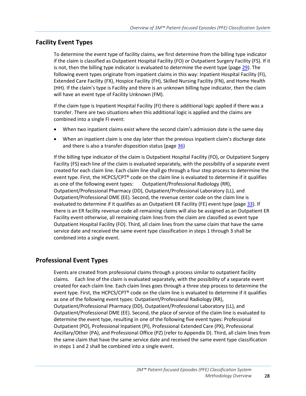### <span id="page-27-0"></span>**Facility Event Types**

To determine the event type of facility claims, we first determine from the billing type indicator if the claim is classified as Outpatient Hospital Facility (FO) or Outpatient Surgery Facility (FS). If it is not, then the billing type indicator is evaluated to determine the event type (pag[e 29\)](#page-28-2). The following event types originate from inpatient claims in this way: Inpatient Hospital Facility (FI), Extended Care Facility (FX), Hospice Facility (FH), Skilled Nursing Facility (FN), and Home Health (HH). If the claim's type is Facility and there is an unknown billing type indicator, then the claim will have an event type of Facility Unknown (FM).

If the claim type is Inpatient Hospital Facility (FI) there is additional logic applied if there was a transfer. There are two situations when this additional logic is applied and the claims are combined into a single FI event:

- When two inpatient claims exist where the second claim's admission date is the same day
- When an inpatient claim is one day later than the previous inpatient claim's discharge date and there is also a transfer disposition status (pag[e 36\)](#page-35-0)

If the billing type indicator of the claim is Outpatient Hospital Facility (FO), or Outpatient Surgery Facility (FS) each line of the claim is evaluated separately, with the possibility of a separate event created for each claim line. Each claim line shall go through a four step process to determine the event type. First, the HCPCS/CPT® code on the claim line is evaluated to determine if it qualifies as one of the following event types: Outpatient/Professional Radiology (RR), Outpatient/Professional Pharmacy (DD), Outpatient/Professional Laboratory (LL), and Outpatient/Professional DME (EE). Second, the revenue center code on the claim line is evaluated to determine if it qualifies as an Outpatient ER Facility (FE) event type (pag[e 33\)](#page-32-0). If there is an ER facility revenue code all remaining claims will also be assigned as an Outpatient ER Facility event otherwise, all remaining claim lines from the claim are classified as event type Outpatient Hospital Facility (FO). Third, all claim lines from the same claim that have the same service date and received the same event type classification in steps 1 through 3 shall be combined into a single event.

### <span id="page-27-1"></span>**Professional Event Types**

Events are created from professional claims through a process similar to outpatient facility claims. Each line of the claim is evaluated separately, with the possibility of a separate event created for each claim line. Each claim lines goes through a three step process to determine the event type. First, the HCPCS/CPT® code on the claim line is evaluated to determine if it qualifies as one of the following event types: Outpatient/Professional Radiology (RR), Outpatient/Professional Pharmacy (DD), Outpatient/Professional Laboratory (LL), and Outpatient/Professional DME (EE). Second, the place of service of the claim line is evaluated to determine the event type, resulting in one of the following five event types: Professional Outpatient (PO), Professional Inpatient (PI), Professional Extended Care (PX), Professional Ancillary/Other (PA), and Professional Office (PZ) (refer to Appendix D). Third, all claim lines from the same claim that have the same service date and received the same event type classification in steps 1 and 2 shall be combined into a single event.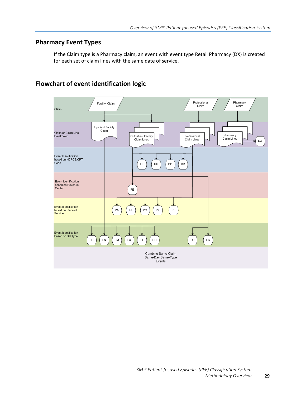### <span id="page-28-0"></span>**Pharmacy Event Types**

If the Claim type is a Pharmacy claim, an event with event type Retail Pharmacy (DX) is created for each set of claim lines with the same date of service.

### <span id="page-28-1"></span>**Flowchart of event identification logic**

<span id="page-28-2"></span>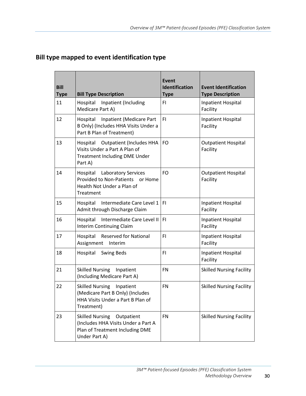| <b>Bill</b><br><b>Type</b> | <b>Bill Type Description</b>                                                                                               | <b>Event</b><br>Identification<br><b>Type</b> | <b>Event Identification</b><br><b>Type Description</b> |
|----------------------------|----------------------------------------------------------------------------------------------------------------------------|-----------------------------------------------|--------------------------------------------------------|
| 11                         | Hospital Inpatient (Including<br>Medicare Part A)                                                                          | FI.                                           | <b>Inpatient Hospital</b><br>Facility                  |
| 12                         | Inpatient (Medicare Part<br>Hospital<br>B Only) (Includes HHA Visits Under a<br>Part B Plan of Treatment)                  | FI.                                           | Inpatient Hospital<br>Facility                         |
| 13                         | Hospital Outpatient (Includes HHA<br>Visits Under a Part A Plan of<br><b>Treatment Including DME Under</b><br>Part A)      | FO                                            | <b>Outpatient Hospital</b><br>Facility                 |
| 14                         | Hospital Laboratory Services<br><b>Provided to Non-Patients</b><br>or Home<br>Health Not Under a Plan of<br>Treatment      | FO                                            | <b>Outpatient Hospital</b><br>Facility                 |
| 15                         | Intermediate Care Level 1<br>Hospital<br>Admit through Discharge Claim                                                     | FI.                                           | Inpatient Hospital<br>Facility                         |
| 16                         | Intermediate Care Level II<br>Hospital<br><b>Interim Continuing Claim</b>                                                  | FI.                                           | <b>Inpatient Hospital</b><br>Facility                  |
| 17                         | <b>Reserved for National</b><br>Hospital<br>Assignment<br>Interim                                                          | FI.                                           | Inpatient Hospital<br>Facility                         |
| 18                         | <b>Swing Beds</b><br>Hospital                                                                                              | FI.                                           | Inpatient Hospital<br>Facility                         |
| 21                         | <b>Skilled Nursing</b><br>Inpatient<br>(Including Medicare Part A)                                                         | <b>FN</b>                                     | <b>Skilled Nursing Facility</b>                        |
| 22                         | <b>Skilled Nursing</b><br>Inpatient<br>(Medicare Part B Only) (Includes<br>HHA Visits Under a Part B Plan of<br>Treatment) | FN                                            | <b>Skilled Nursing Facility</b>                        |
| 23                         | Skilled Nursing Outpatient<br>(Includes HHA Visits Under a Part A<br>Plan of Treatment Including DME<br>Under Part A)      | <b>FN</b>                                     | <b>Skilled Nursing Facility</b>                        |

### **Bill type mapped to event identification type**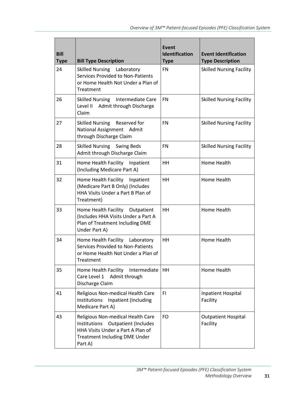| <b>Bill</b><br><b>Type</b> | <b>Bill Type Description</b>                                                                                                                                             | Event<br><b>Identification</b><br><b>Type</b> | <b>Event Identification</b><br><b>Type Description</b> |
|----------------------------|--------------------------------------------------------------------------------------------------------------------------------------------------------------------------|-----------------------------------------------|--------------------------------------------------------|
| 24                         | <b>Skilled Nursing</b><br>Laboratory<br>Services Provided to Non-Patients<br>or Home Health Not Under a Plan of<br>Treatment                                             | <b>FN</b>                                     | <b>Skilled Nursing Facility</b>                        |
| 26                         | Skilled Nursing Intermediate Care<br>Level II<br>Admit through Discharge<br>Claim                                                                                        | <b>FN</b>                                     | <b>Skilled Nursing Facility</b>                        |
| 27                         | <b>Skilled Nursing</b><br>Reserved for<br>National Assignment Admit<br>through Discharge Claim                                                                           | <b>FN</b>                                     | <b>Skilled Nursing Facility</b>                        |
| 28                         | Skilled Nursing Swing Beds<br>Admit through Discharge Claim                                                                                                              | <b>FN</b>                                     | <b>Skilled Nursing Facility</b>                        |
| 31                         | Home Health Facility Inpatient<br>(Including Medicare Part A)                                                                                                            | <b>HH</b>                                     | Home Health                                            |
| 32                         | Home Health Facility Inpatient<br>(Medicare Part B Only) (Includes<br>HHA Visits Under a Part B Plan of<br>Treatment)                                                    | <b>HH</b>                                     | Home Health                                            |
| 33                         | Home Health Facility Outpatient<br>(Includes HHA Visits Under a Part A<br>Plan of Treatment Including DME<br>Under Part A)                                               | HH                                            | Home Health                                            |
| 34                         | Home Health Facility Laboratory<br><b>Services Provided to Non-Patients</b><br>or Home Health Not Under a Plan of<br>Treatment                                           | <b>HH</b>                                     | Home Health                                            |
| 35                         | Home Health Facility<br>Intermediate<br>Care Level 1<br>Admit through<br>Discharge Claim                                                                                 | HH                                            | Home Health                                            |
| 41                         | Religious Non-medical Health Care<br>Institutions<br>Inpatient (Including<br>Medicare Part A)                                                                            | FI.                                           | Inpatient Hospital<br>Facility                         |
| 43                         | Religious Non-medical Health Care<br>Institutions<br><b>Outpatient (Includes</b><br>HHA Visits Under a Part A Plan of<br><b>Treatment Including DME Under</b><br>Part A) | FO                                            | <b>Outpatient Hospital</b><br>Facility                 |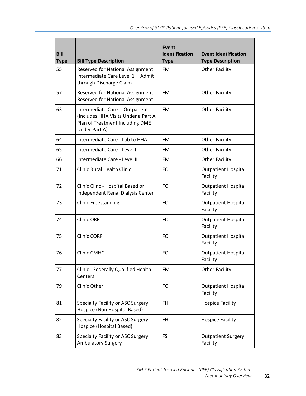| <b>Bill</b><br><b>Type</b> | <b>Bill Type Description</b>                                                                                                      | <b>Event</b><br>Identification<br><b>Type</b> | <b>Event Identification</b><br><b>Type Description</b> |
|----------------------------|-----------------------------------------------------------------------------------------------------------------------------------|-----------------------------------------------|--------------------------------------------------------|
| 55                         | <b>Reserved for National Assignment</b><br>Intermediate Care Level 1<br>Admit<br>through Discharge Claim                          | <b>FM</b>                                     | <b>Other Facility</b>                                  |
| 57                         | <b>Reserved for National Assignment</b><br><b>Reserved for National Assignment</b>                                                | <b>FM</b>                                     | <b>Other Facility</b>                                  |
| 63                         | <b>Intermediate Care</b><br>Outpatient<br>(Includes HHA Visits Under a Part A<br>Plan of Treatment Including DME<br>Under Part A) | <b>FM</b>                                     | <b>Other Facility</b>                                  |
| 64                         | Intermediate Care - Lab to HHA                                                                                                    | <b>FM</b>                                     | <b>Other Facility</b>                                  |
| 65                         | Intermediate Care - Level I                                                                                                       | FM                                            | <b>Other Facility</b>                                  |
| 66                         | Intermediate Care - Level II                                                                                                      | <b>FM</b>                                     | <b>Other Facility</b>                                  |
| 71                         | <b>Clinic Rural Health Clinic</b>                                                                                                 | FO                                            | <b>Outpatient Hospital</b><br>Facility                 |
| 72                         | Clinic Clinc - Hospital Based or<br>Independent Renal Dialysis Center                                                             | FO                                            | <b>Outpatient Hospital</b><br>Facility                 |
| 73                         | <b>Clinic Freestanding</b>                                                                                                        | FO                                            | <b>Outpatient Hospital</b><br>Facility                 |
| 74                         | <b>Clinic ORF</b>                                                                                                                 | <b>FO</b>                                     | <b>Outpatient Hospital</b><br>Facility                 |
| 75                         | <b>Clinic CORF</b>                                                                                                                | FO                                            | <b>Outpatient Hospital</b><br>Facility                 |
| 76                         | <b>Clinic CMHC</b>                                                                                                                | <b>FO</b>                                     | <b>Outpatient Hospital</b><br>Facility                 |
| 77                         | Clinic - Federally Qualified Health<br>Centers                                                                                    | FM                                            | <b>Other Facility</b>                                  |
| 79                         | Clinic Other                                                                                                                      | <b>FO</b>                                     | <b>Outpatient Hospital</b><br>Facility                 |
| 81                         | Specialty Facility or ASC Surgery<br>Hospice (Non Hospital Based)                                                                 | <b>FH</b>                                     | <b>Hospice Facility</b>                                |
| 82                         | Specialty Facility or ASC Surgery<br>Hospice (Hospital Based)                                                                     | FH                                            | <b>Hospice Facility</b>                                |
| 83                         | Specialty Facility or ASC Surgery<br><b>Ambulatory Surgery</b>                                                                    | <b>FS</b>                                     | <b>Outpatient Surgery</b><br>Facility                  |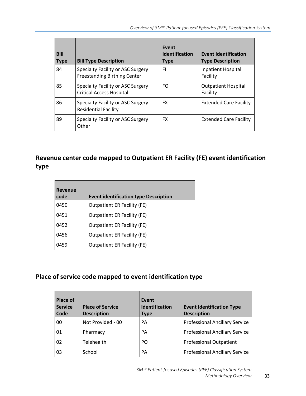*Overview of 3M™ Patient-focused Episodes (PFE) Classification System*

| <b>Bill</b><br><b>Type</b> | <b>Bill Type Description</b>                                             | Event<br><b>Identification</b><br><b>Type</b> | <b>Event Identification</b><br><b>Type Description</b> |
|----------------------------|--------------------------------------------------------------------------|-----------------------------------------------|--------------------------------------------------------|
| 84                         | Specialty Facility or ASC Surgery<br><b>Freestanding Birthing Center</b> | FI                                            | <b>Inpatient Hospital</b><br>Facility                  |
| 85                         | Specialty Facility or ASC Surgery<br><b>Critical Access Hospital</b>     | FO.                                           | <b>Outpatient Hospital</b><br>Facility                 |
| 86                         | Specialty Facility or ASC Surgery<br><b>Residential Facility</b>         | FX.                                           | <b>Extended Care Facility</b>                          |
| 89                         | Specialty Facility or ASC Surgery<br>Other                               | FX.                                           | <b>Extended Care Facility</b>                          |

### <span id="page-32-0"></span>**Revenue center code mapped to Outpatient ER Facility (FE) event identification type**

| Revenue<br>code | <b>Event identification type Description</b> |
|-----------------|----------------------------------------------|
| 0450            | <b>Outpatient ER Facility (FE)</b>           |
| 0451            | <b>Outpatient ER Facility (FE)</b>           |
| 0452            | <b>Outpatient ER Facility (FE)</b>           |
| 0456            | <b>Outpatient ER Facility (FE)</b>           |
| 0459            | <b>Outpatient ER Facility (FE)</b>           |

### <span id="page-32-1"></span>**Place of service code mapped to event identification type**

| Place of<br><b>Service</b><br>Code | <b>Place of Service</b><br><b>Description</b> | Event<br>Identification<br><b>Type</b> | <b>Event Identification Type</b><br><b>Description</b> |
|------------------------------------|-----------------------------------------------|----------------------------------------|--------------------------------------------------------|
| 00                                 | Not Provided - 00                             | PA                                     | <b>Professional Ancillary Service</b>                  |
| 01                                 | Pharmacy                                      | PA                                     | <b>Professional Ancillary Service</b>                  |
| 02                                 | Telehealth                                    | P <sub>O</sub>                         | <b>Professional Outpatient</b>                         |
| 03                                 | School                                        | PA                                     | <b>Professional Ancillary Service</b>                  |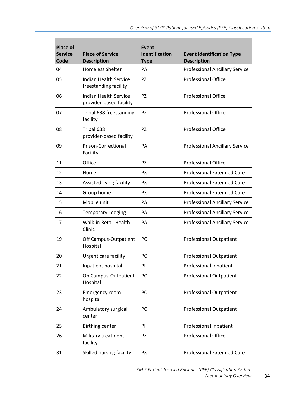| <b>Place of</b><br><b>Service</b><br>Code | <b>Place of Service</b><br><b>Description</b>           | <b>Event</b><br><b>Identification</b><br><b>Type</b> | <b>Event Identification Type</b><br><b>Description</b> |
|-------------------------------------------|---------------------------------------------------------|------------------------------------------------------|--------------------------------------------------------|
| 04                                        | <b>Homeless Shelter</b>                                 | PA                                                   | <b>Professional Ancillary Service</b>                  |
| 05                                        | <b>Indian Health Service</b><br>freestanding facility   | <b>PZ</b>                                            | <b>Professional Office</b>                             |
| 06                                        | <b>Indian Health Service</b><br>provider-based facility | <b>PZ</b>                                            | <b>Professional Office</b>                             |
| 07                                        | Tribal 638 freestanding<br>facility                     | <b>PZ</b>                                            | <b>Professional Office</b>                             |
| 08                                        | Tribal 638<br>provider-based facility                   | <b>PZ</b>                                            | <b>Professional Office</b>                             |
| 09                                        | <b>Prison-Correctional</b><br>Facility                  | PA                                                   | <b>Professional Ancillary Service</b>                  |
| 11                                        | Office                                                  | <b>PZ</b>                                            | <b>Professional Office</b>                             |
| 12                                        | Home                                                    | <b>PX</b>                                            | <b>Professional Extended Care</b>                      |
| 13                                        | Assisted living facility                                | <b>PX</b>                                            | <b>Professional Extended Care</b>                      |
| 14                                        | Group home                                              | <b>PX</b>                                            | <b>Professional Extended Care</b>                      |
| 15                                        | Mobile unit                                             | PA                                                   | <b>Professional Ancillary Service</b>                  |
| 16                                        | <b>Temporary Lodging</b>                                | PA                                                   | <b>Professional Ancillary Service</b>                  |
| 17                                        | <b>Walk-in Retail Health</b><br>Clinic                  | PA                                                   | <b>Professional Ancillary Service</b>                  |
| 19                                        | Off Campus-Outpatient<br>Hospital                       | PO                                                   | <b>Professional Outpatient</b>                         |
| 20                                        | Urgent care facility                                    | PO                                                   | <b>Professional Outpatient</b>                         |
| 21                                        | Inpatient hospital                                      | PI                                                   | Professional Inpatient                                 |
| 22                                        | On Campus-Outpatient<br>Hospital                        | PO                                                   | <b>Professional Outpatient</b>                         |
| 23                                        | Emergency room --<br>hospital                           | PO                                                   | <b>Professional Outpatient</b>                         |
| 24                                        | Ambulatory surgical<br>center                           | PO                                                   | <b>Professional Outpatient</b>                         |
| 25                                        | <b>Birthing center</b>                                  | PI                                                   | Professional Inpatient                                 |
| 26                                        | Military treatment<br>facility                          | <b>PZ</b>                                            | Professional Office                                    |
| 31                                        | Skilled nursing facility                                | <b>PX</b>                                            | <b>Professional Extended Care</b>                      |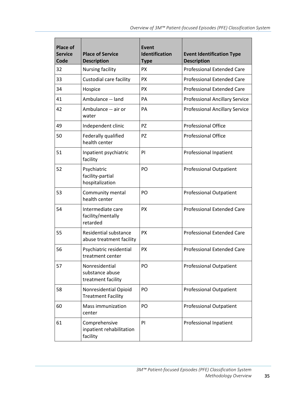| <b>Place of</b><br><b>Service</b><br>Code | <b>Place of Service</b><br><b>Description</b>           | <b>Event</b><br><b>Identification</b><br><b>Type</b> | <b>Event Identification Type</b><br><b>Description</b> |
|-------------------------------------------|---------------------------------------------------------|------------------------------------------------------|--------------------------------------------------------|
| 32                                        | Nursing facility                                        | <b>PX</b>                                            | <b>Professional Extended Care</b>                      |
| 33                                        | Custodial care facility                                 | <b>PX</b>                                            | <b>Professional Extended Care</b>                      |
| 34                                        | Hospice                                                 | <b>PX</b>                                            | <b>Professional Extended Care</b>                      |
| 41                                        | Ambulance -- land                                       | PA                                                   | <b>Professional Ancillary Service</b>                  |
| 42                                        | Ambulance -- air or<br>water                            | PA                                                   | <b>Professional Ancillary Service</b>                  |
| 49                                        | Independent clinic                                      | <b>PZ</b>                                            | <b>Professional Office</b>                             |
| 50                                        | Federally qualified<br>health center                    | <b>PZ</b>                                            | <b>Professional Office</b>                             |
| 51                                        | Inpatient psychiatric<br>facility                       | PI                                                   | Professional Inpatient                                 |
| 52                                        | Psychiatric<br>facility-partial<br>hospitalization      | PO                                                   | <b>Professional Outpatient</b>                         |
| 53                                        | Community mental<br>health center                       | P <sub>O</sub>                                       | <b>Professional Outpatient</b>                         |
| 54                                        | Intermediate care<br>facility/mentally<br>retarded      | <b>PX</b>                                            | <b>Professional Extended Care</b>                      |
| 55                                        | Residential substance<br>abuse treatment facility       | <b>PX</b>                                            | <b>Professional Extended Care</b>                      |
| 56                                        | Psychiatric residential<br>treatment center             | <b>PX</b>                                            | <b>Professional Extended Care</b>                      |
| 57                                        | Nonresidential<br>substance abuse<br>treatment facility | PO                                                   | <b>Professional Outpatient</b>                         |
| 58                                        | Nonresidential Opioid<br><b>Treatment Facility</b>      | PO                                                   | <b>Professional Outpatient</b>                         |
| 60                                        | <b>Mass immunization</b><br>center                      | PO                                                   | <b>Professional Outpatient</b>                         |
| 61                                        | Comprehensive<br>inpatient rehabilitation<br>facility   | PI                                                   | Professional Inpatient                                 |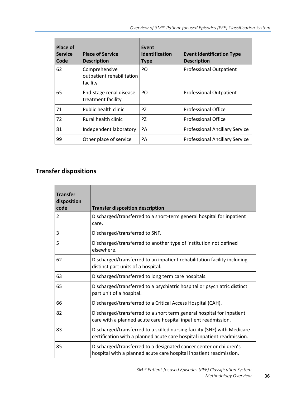| Place of<br><b>Service</b><br>Code | <b>Place of Service</b><br><b>Description</b>          | Event<br><b>Identification</b><br><b>Type</b> | <b>Event Identification Type</b><br><b>Description</b> |
|------------------------------------|--------------------------------------------------------|-----------------------------------------------|--------------------------------------------------------|
| 62                                 | Comprehensive<br>outpatient rehabilitation<br>facility | PO.                                           | <b>Professional Outpatient</b>                         |
| 65                                 | End-stage renal disease<br>treatment facility          | P <sub>O</sub>                                | <b>Professional Outpatient</b>                         |
| 71                                 | Public health clinic                                   | PZ                                            | <b>Professional Office</b>                             |
| 72                                 | Rural health clinic                                    | PZ                                            | <b>Professional Office</b>                             |
| 81                                 | Independent laboratory                                 | PA                                            | <b>Professional Ancillary Service</b>                  |
| 99                                 | Other place of service                                 | PA                                            | <b>Professional Ancillary Service</b>                  |

### <span id="page-35-0"></span>**Transfer dispositions**

| <b>Transfer</b><br>disposition<br>code | <b>Transfer disposition description</b>                                                                                                             |
|----------------------------------------|-----------------------------------------------------------------------------------------------------------------------------------------------------|
| 2                                      | Discharged/transferred to a short-term general hospital for inpatient<br>care.                                                                      |
| 3                                      | Discharged/transferred to SNF.                                                                                                                      |
| 5                                      | Discharged/transferred to another type of institution not defined<br>elsewhere.                                                                     |
| 62                                     | Discharged/transferred to an inpatient rehabilitation facility including<br>distinct part units of a hospital.                                      |
| 63                                     | Discharged/transferred to long term care hospitals.                                                                                                 |
| 65                                     | Discharged/transferred to a psychiatric hospital or psychiatric distinct<br>part unit of a hospital.                                                |
| 66                                     | Discharged/transferred to a Critical Access Hospital (CAH).                                                                                         |
| 82                                     | Discharged/transferred to a short term general hospital for inpatient<br>care with a planned acute care hospital inpatient readmission.             |
| 83                                     | Discharged/transferred to a skilled nursing facility (SNF) with Medicare<br>certification with a planned acute care hospital inpatient readmission. |
| 85                                     | Discharged/transferred to a designated cancer center or children's<br>hospital with a planned acute care hospital inpatient readmission.            |